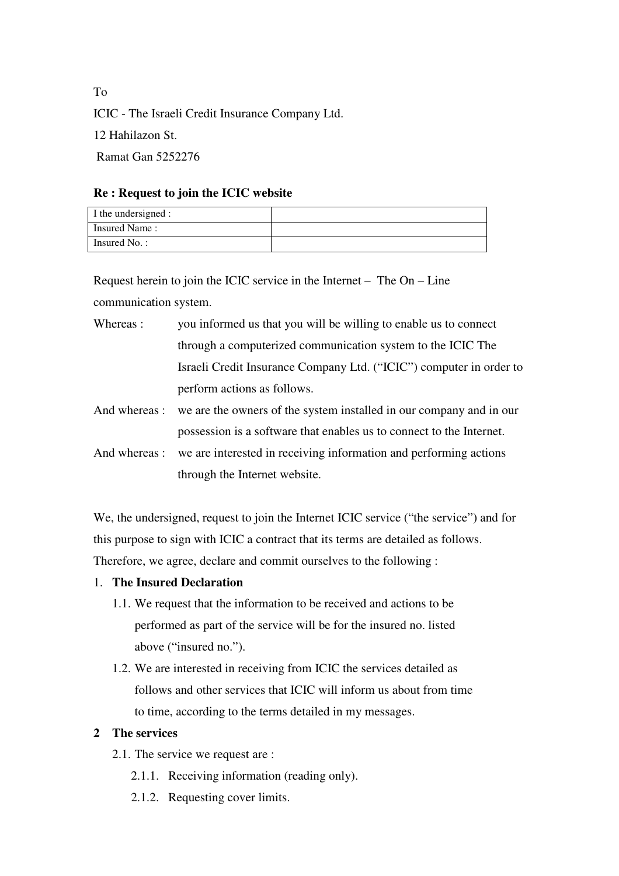ICIC - The Israeli Credit Insurance Company Ltd. 12 Hahilazon St. Ramat Gan 5252276

### **Re : Request to join the ICIC website**

| I the undersigned : |  |
|---------------------|--|
| Insured Name:       |  |
| Insured No.:        |  |

Request herein to join the ICIC service in the Internet – The On – Line communication system.

| Whereas : | you informed us that you will be willing to enable us to connect    |
|-----------|---------------------------------------------------------------------|
|           | through a computerized communication system to the ICIC The         |
|           | Israeli Credit Insurance Company Ltd. ("ICIC") computer in order to |
|           | perform actions as follows.                                         |

And whereas : we are the owners of the system installed in our company and in our possession is a software that enables us to connect to the Internet.

And whereas : we are interested in receiving information and performing actions through the Internet website.

We, the undersigned, request to join the Internet ICIC service ("the service") and for this purpose to sign with ICIC a contract that its terms are detailed as follows. Therefore, we agree, declare and commit ourselves to the following :

- 1. **The Insured Declaration**
	- 1.1. We request that the information to be received and actions to be performed as part of the service will be for the insured no. listed above ("insured no.").
	- 1.2. We are interested in receiving from ICIC the services detailed as follows and other services that ICIC will inform us about from time to time, according to the terms detailed in my messages.

## **2 The services**

- 2.1. The service we request are :
	- 2.1.1. Receiving information (reading only).
	- 2.1.2. Requesting cover limits.

To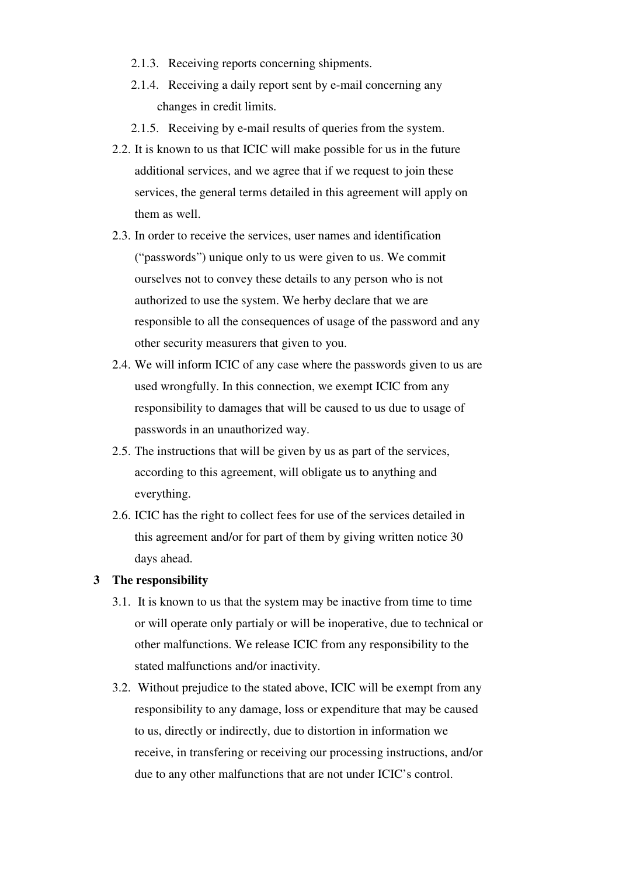- 2.1.3. Receiving reports concerning shipments.
- 2.1.4. Receiving a daily report sent by e-mail concerning any changes in credit limits.
- 2.1.5. Receiving by e-mail results of queries from the system.
- 2.2. It is known to us that ICIC will make possible for us in the future additional services, and we agree that if we request to join these services, the general terms detailed in this agreement will apply on them as well.
- 2.3. In order to receive the services, user names and identification ("passwords") unique only to us were given to us. We commit ourselves not to convey these details to any person who is not authorized to use the system. We herby declare that we are responsible to all the consequences of usage of the password and any other security measurers that given to you.
- 2.4. We will inform ICIC of any case where the passwords given to us are used wrongfully. In this connection, we exempt ICIC from any responsibility to damages that will be caused to us due to usage of passwords in an unauthorized way.
- 2.5. The instructions that will be given by us as part of the services, according to this agreement, will obligate us to anything and everything.
- 2.6. ICIC has the right to collect fees for use of the services detailed in this agreement and/or for part of them by giving written notice 30 days ahead.

#### **3 The responsibility**

- 3.1. It is known to us that the system may be inactive from time to time or will operate only partialy or will be inoperative, due to technical or other malfunctions. We release ICIC from any responsibility to the stated malfunctions and/or inactivity.
- 3.2. Without prejudice to the stated above, ICIC will be exempt from any responsibility to any damage, loss or expenditure that may be caused to us, directly or indirectly, due to distortion in information we receive, in transfering or receiving our processing instructions, and/or due to any other malfunctions that are not under ICIC's control.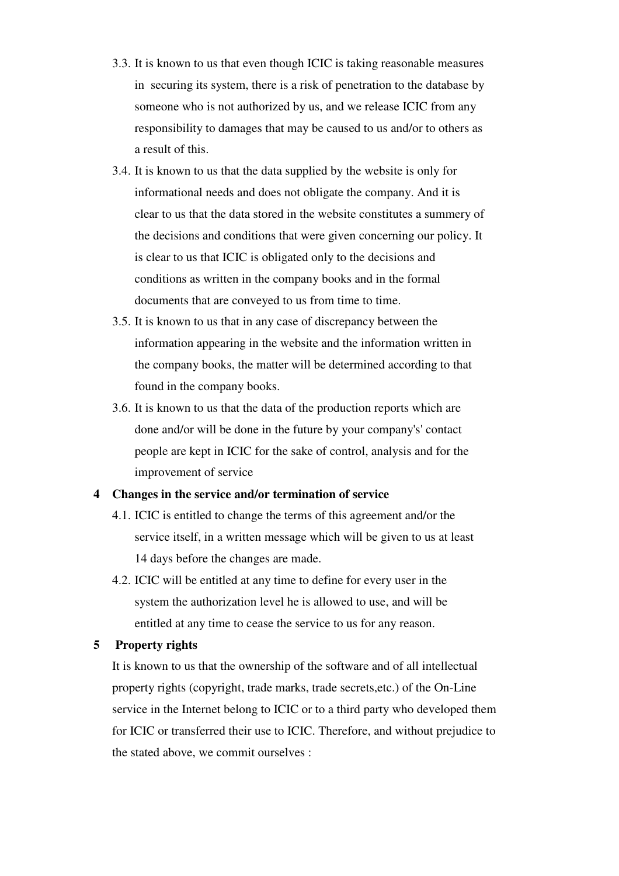- 3.3. It is known to us that even though ICIC is taking reasonable measures in securing its system, there is a risk of penetration to the database by someone who is not authorized by us, and we release ICIC from any responsibility to damages that may be caused to us and/or to others as a result of this.
- 3.4. It is known to us that the data supplied by the website is only for informational needs and does not obligate the company. And it is clear to us that the data stored in the website constitutes a summery of the decisions and conditions that were given concerning our policy. It is clear to us that ICIC is obligated only to the decisions and conditions as written in the company books and in the formal documents that are conveyed to us from time to time.
- 3.5. It is known to us that in any case of discrepancy between the information appearing in the website and the information written in the company books, the matter will be determined according to that found in the company books.
- 3.6. It is known to us that the data of the production reports which are done and/or will be done in the future by your company's' contact people are kept in ICIC for the sake of control, analysis and for the improvement of service

#### **4 Changes in the service and/or termination of service**

- 4.1. ICIC is entitled to change the terms of this agreement and/or the service itself, in a written message which will be given to us at least 14 days before the changes are made.
- 4.2. ICIC will be entitled at any time to define for every user in the system the authorization level he is allowed to use, and will be entitled at any time to cease the service to us for any reason.

#### **5 Property rights**

It is known to us that the ownership of the software and of all intellectual property rights (copyright, trade marks, trade secrets,etc.) of the On-Line service in the Internet belong to ICIC or to a third party who developed them for ICIC or transferred their use to ICIC. Therefore, and without prejudice to the stated above, we commit ourselves :